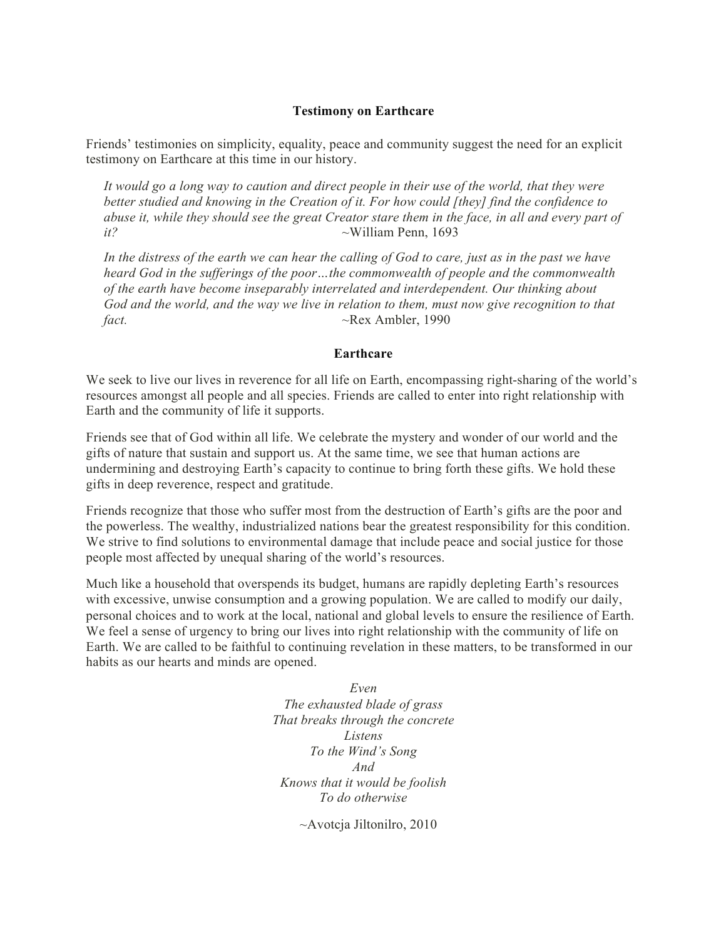## **Testimony on Earthcare**

Friends' testimonies on simplicity, equality, peace and community suggest the need for an explicit testimony on Earthcare at this time in our history.

*It would go a long way to caution and direct people in their use of the world, that they were better studied and knowing in the Creation of it. For how could [they] find the confidence to abuse it, while they should see the great Creator stare them in the face, in all and every part of it?* ~William Penn, 1693

In the distress of the earth we can hear the calling of God to care, just as in the past we have *heard God in the sufferings of the poor…the commonwealth of people and the commonwealth of the earth have become inseparably interrelated and interdependent. Our thinking about God and the world, and the way we live in relation to them, must now give recognition to that fact.*  $\sim$ Rex Ambler, 1990

## **Earthcare**

We seek to live our lives in reverence for all life on Earth, encompassing right-sharing of the world's resources amongst all people and all species. Friends are called to enter into right relationship with Earth and the community of life it supports.

Friends see that of God within all life. We celebrate the mystery and wonder of our world and the gifts of nature that sustain and support us. At the same time, we see that human actions are undermining and destroying Earth's capacity to continue to bring forth these gifts. We hold these gifts in deep reverence, respect and gratitude.

Friends recognize that those who suffer most from the destruction of Earth's gifts are the poor and the powerless. The wealthy, industrialized nations bear the greatest responsibility for this condition. We strive to find solutions to environmental damage that include peace and social justice for those people most affected by unequal sharing of the world's resources.

Much like a household that overspends its budget, humans are rapidly depleting Earth's resources with excessive, unwise consumption and a growing population. We are called to modify our daily, personal choices and to work at the local, national and global levels to ensure the resilience of Earth. We feel a sense of urgency to bring our lives into right relationship with the community of life on Earth. We are called to be faithful to continuing revelation in these matters, to be transformed in our habits as our hearts and minds are opened.

> *Even The exhausted blade of grass That breaks through the concrete Listens To the Wind's Song And Knows that it would be foolish To do otherwise*

> > ~Avotcja Jiltonilro, 2010